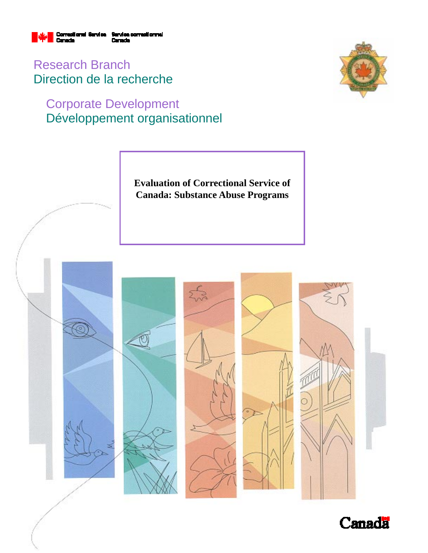

Research Branch Direction de la recherche

# Corporate Development Développement organisationnel



**Evaluation of Correctional Service of Canada: Substance Abuse Programs** 



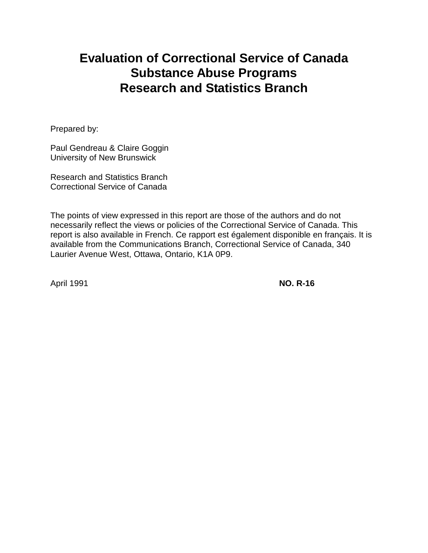# **Evaluation of Correctional Service of Canada Substance Abuse Programs Research and Statistics Branch**

Prepared by:

Paul Gendreau & Claire Goggin University of New Brunswick

Research and Statistics Branch Correctional Service of Canada

The points of view expressed in this report are those of the authors and do not necessarily reflect the views or policies of the Correctional Service of Canada. This report is also available in French. Ce rapport est également disponible en français. It is available from the Communications Branch, Correctional Service of Canada, 340 Laurier Avenue West, Ottawa, Ontario, K1A 0P9.

April 1991 **NO. R-16**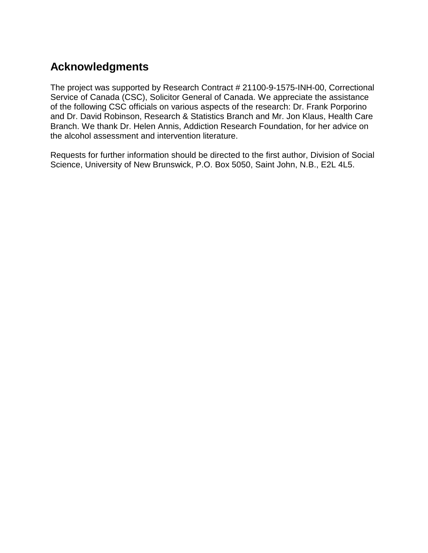## **Acknowledgments**

The project was supported by Research Contract # 21100-9-1575-INH-00, Correctional Service of Canada (CSC), Solicitor General of Canada. We appreciate the assistance of the following CSC officials on various aspects of the research: Dr. Frank Porporino and Dr. David Robinson, Research & Statistics Branch and Mr. Jon Klaus, Health Care Branch. We thank Dr. Helen Annis, Addiction Research Foundation, for her advice on the alcohol assessment and intervention literature.

Requests for further information should be directed to the first author, Division of Social Science, University of New Brunswick, P.O. Box 5050, Saint John, N.B., E2L 4L5.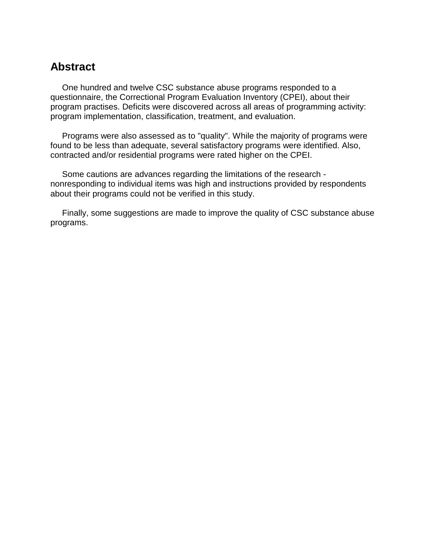## **Abstract**

 One hundred and twelve CSC substance abuse programs responded to a questionnaire, the Correctional Program Evaluation Inventory (CPEI), about their program practises. Deficits were discovered across all areas of programming activity: program implementation, classification, treatment, and evaluation.

 Programs were also assessed as to "quality". While the majority of programs were found to be less than adequate, several satisfactory programs were identified. Also, contracted and/or residential programs were rated higher on the CPEI.

 Some cautions are advances regarding the limitations of the research nonresponding to individual items was high and instructions provided by respondents about their programs could not be verified in this study.

 Finally, some suggestions are made to improve the quality of CSC substance abuse programs.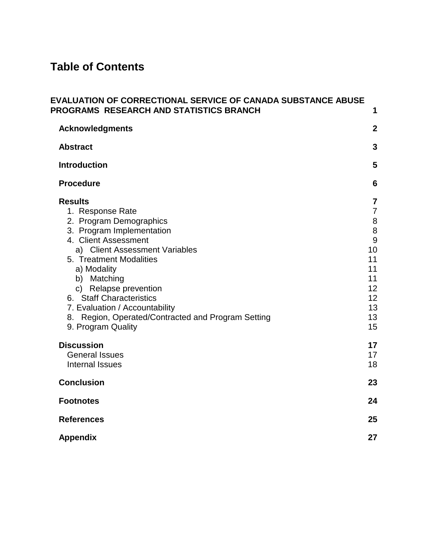# **Table of Contents**

| EVALUATION OF CORRECTIONAL SERVICE OF CANADA SUBSTANCE ABUSE<br>PROGRAMS RESEARCH AND STATISTICS BRANCH                                                                                                                                                                                                                                                                          | 1                                                                                                     |
|----------------------------------------------------------------------------------------------------------------------------------------------------------------------------------------------------------------------------------------------------------------------------------------------------------------------------------------------------------------------------------|-------------------------------------------------------------------------------------------------------|
| <b>Acknowledgments</b>                                                                                                                                                                                                                                                                                                                                                           | $\overline{2}$                                                                                        |
| <b>Abstract</b>                                                                                                                                                                                                                                                                                                                                                                  | 3                                                                                                     |
| <b>Introduction</b>                                                                                                                                                                                                                                                                                                                                                              | 5                                                                                                     |
| <b>Procedure</b>                                                                                                                                                                                                                                                                                                                                                                 | $6\phantom{1}6$                                                                                       |
| <b>Results</b><br>1. Response Rate<br>2. Program Demographics<br>3. Program Implementation<br>4. Client Assessment<br>a) Client Assessment Variables<br>5. Treatment Modalities<br>a) Modality<br>b) Matching<br>c) Relapse prevention<br>6. Staff Characteristics<br>7. Evaluation / Accountability<br>8. Region, Operated/Contracted and Program Setting<br>9. Program Quality | $\overline{7}$<br>$\overline{7}$<br>8<br>8<br>9<br>10<br>11<br>11<br>11<br>12<br>12<br>13<br>13<br>15 |
| <b>Discussion</b><br><b>General Issues</b><br>Internal Issues                                                                                                                                                                                                                                                                                                                    | 17<br>17<br>18                                                                                        |
| <b>Conclusion</b>                                                                                                                                                                                                                                                                                                                                                                | 23                                                                                                    |
| <b>Footnotes</b>                                                                                                                                                                                                                                                                                                                                                                 | 24                                                                                                    |
| <b>References</b>                                                                                                                                                                                                                                                                                                                                                                | 25                                                                                                    |
| <b>Appendix</b>                                                                                                                                                                                                                                                                                                                                                                  | 27                                                                                                    |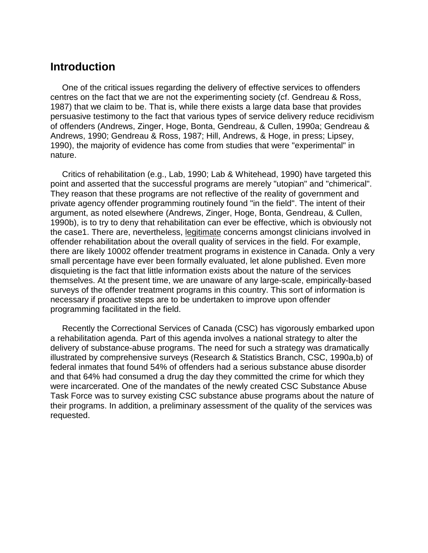### **Introduction**

 One of the critical issues regarding the delivery of effective services to offenders centres on the fact that we are not the experimenting society (cf. Gendreau & Ross, 1987) that we claim to be. That is, while there exists a large data base that provides persuasive testimony to the fact that various types of service delivery reduce recidivism of offenders (Andrews, Zinger, Hoge, Bonta, Gendreau, & Cullen, 1990a; Gendreau & Andrews, 1990; Gendreau & Ross, 1987; Hill, Andrews, & Hoge, in press; Lipsey, 1990), the majority of evidence has come from studies that were "experimental" in nature.

 Critics of rehabilitation (e.g., Lab, 1990; Lab & Whitehead, 1990) have targeted this point and asserted that the successful programs are merely "utopian" and "chimerical". They reason that these programs are not reflective of the reality of government and private agency offender programming routinely found "in the field". The intent of their argument, as noted elsewhere (Andrews, Zinger, Hoge, Bonta, Gendreau, & Cullen, 1990b), is to try to deny that rehabilitation can ever be effective, which is obviously not the case1. There are, nevertheless, legitimate concerns amongst clinicians involved in offender rehabilitation about the overall quality of services in the field. For example, there are likely 10002 offender treatment programs in existence in Canada. Only a very small percentage have ever been formally evaluated, let alone published. Even more disquieting is the fact that little information exists about the nature of the services themselves. At the present time, we are unaware of any large-scale, empirically-based surveys of the offender treatment programs in this country. This sort of information is necessary if proactive steps are to be undertaken to improve upon offender programming facilitated in the field.

 Recently the Correctional Services of Canada (CSC) has vigorously embarked upon a rehabilitation agenda. Part of this agenda involves a national strategy to alter the delivery of substance-abuse programs. The need for such a strategy was dramatically illustrated by comprehensive surveys (Research & Statistics Branch, CSC, 1990a,b) of federal inmates that found 54% of offenders had a serious substance abuse disorder and that 64% had consumed a drug the day they committed the crime for which they were incarcerated. One of the mandates of the newly created CSC Substance Abuse Task Force was to survey existing CSC substance abuse programs about the nature of their programs. In addition, a preliminary assessment of the quality of the services was requested.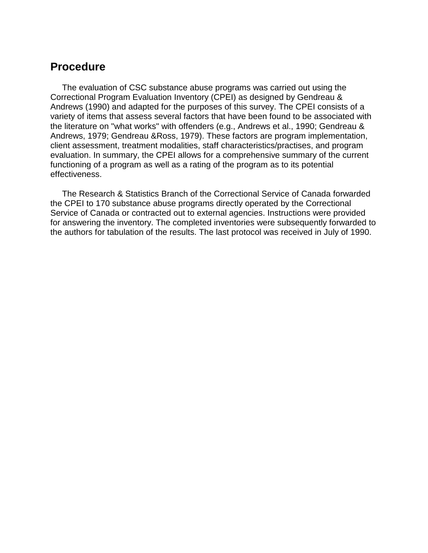### **Procedure**

 The evaluation of CSC substance abuse programs was carried out using the Correctional Program Evaluation Inventory (CPEI) as designed by Gendreau & Andrews (1990) and adapted for the purposes of this survey. The CPEI consists of a variety of items that assess several factors that have been found to be associated with the literature on "what works" with offenders (e.g., Andrews et al., 1990; Gendreau & Andrews, 1979; Gendreau &Ross, 1979). These factors are program implementation, client assessment, treatment modalities, staff characteristics/practises, and program evaluation. In summary, the CPEI allows for a comprehensive summary of the current functioning of a program as well as a rating of the program as to its potential effectiveness.

 The Research & Statistics Branch of the Correctional Service of Canada forwarded the CPEI to 170 substance abuse programs directly operated by the Correctional Service of Canada or contracted out to external agencies. Instructions were provided for answering the inventory. The completed inventories were subsequently forwarded to the authors for tabulation of the results. The last protocol was received in July of 1990.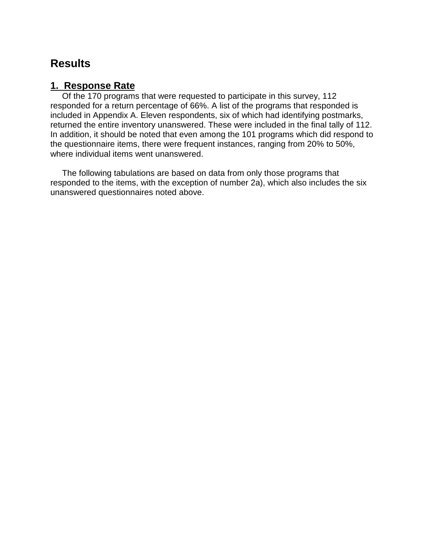## **Results**

### **1. Response Rate**

 Of the 170 programs that were requested to participate in this survey, 112 responded for a return percentage of 66%. A list of the programs that responded is included in Appendix A. Eleven respondents, six of which had identifying postmarks, returned the entire inventory unanswered. These were included in the final tally of 112. In addition, it should be noted that even among the 101 programs which did respond to the questionnaire items, there were frequent instances, ranging from 20% to 50%, where individual items went unanswered.

 The following tabulations are based on data from only those programs that responded to the items, with the exception of number 2a), which also includes the six unanswered questionnaires noted above.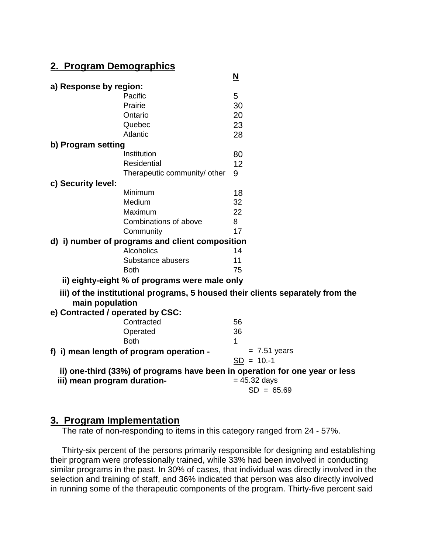### **2. Program Demographics**

|                                  |                                                 | <u>.</u>                                                                       |
|----------------------------------|-------------------------------------------------|--------------------------------------------------------------------------------|
| a) Response by region:           |                                                 |                                                                                |
|                                  | Pacific                                         | 5                                                                              |
|                                  | Prairie                                         | 30                                                                             |
|                                  | Ontario                                         | 20                                                                             |
|                                  | Quebec                                          | 23                                                                             |
|                                  | Atlantic                                        | 28                                                                             |
| b) Program setting               |                                                 |                                                                                |
|                                  | Institution                                     | 80                                                                             |
|                                  | <b>Residential</b>                              | 12                                                                             |
|                                  | Therapeutic community/ other                    | 9                                                                              |
| c) Security level:               |                                                 |                                                                                |
|                                  | Minimum                                         | 18                                                                             |
|                                  | Medium                                          | 32                                                                             |
|                                  | Maximum                                         | 22                                                                             |
|                                  | Combinations of above                           | 8                                                                              |
|                                  | Community                                       | 17                                                                             |
|                                  | d) i) number of programs and client composition |                                                                                |
|                                  | <b>Alcoholics</b>                               | 14                                                                             |
|                                  | Substance abusers                               | 11                                                                             |
|                                  | <b>Both</b>                                     | 75                                                                             |
|                                  | ii) eighty-eight % of programs were male only   |                                                                                |
|                                  |                                                 | iii) of the institutional programs, 5 housed their clients separately from the |
| main population                  |                                                 |                                                                                |
| e) Contracted / operated by CSC: |                                                 |                                                                                |
|                                  | Contracted                                      | 56                                                                             |
|                                  | Operated                                        | 36                                                                             |
|                                  | <b>Both</b>                                     | 1                                                                              |
|                                  | f) i) mean length of program operation -        | $= 7.51$ years                                                                 |
|                                  |                                                 | $SD = 10.-1$                                                                   |
|                                  |                                                 | ii) one-third (33%) of programs have been in operation for one year or less    |
| iii) mean program duration-      |                                                 | $= 45.32$ days                                                                 |
|                                  |                                                 | $SD = 65.69$                                                                   |
|                                  |                                                 |                                                                                |

**N**

### **3. Program Implementation**

The rate of non-responding to items in this category ranged from 24 - 57%.

 Thirty-six percent of the persons primarily responsible for designing and establishing their program were professionally trained, while 33% had been involved in conducting similar programs in the past. In 30% of cases, that individual was directly involved in the selection and training of staff, and 36% indicated that person was also directly involved in running some of the therapeutic components of the program. Thirty-five percent said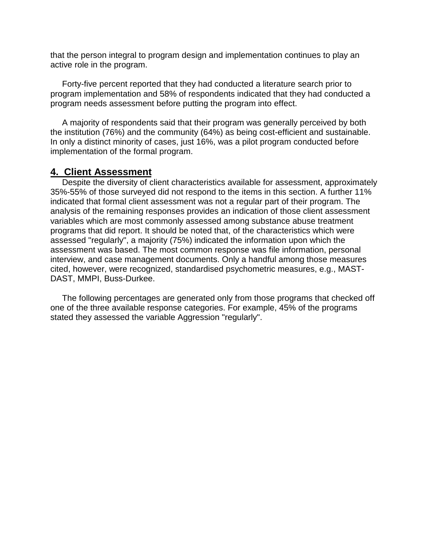that the person integral to program design and implementation continues to play an active role in the program.

 Forty-five percent reported that they had conducted a literature search prior to program implementation and 58% of respondents indicated that they had conducted a program needs assessment before putting the program into effect.

 A majority of respondents said that their program was generally perceived by both the institution (76%) and the community (64%) as being cost-efficient and sustainable. In only a distinct minority of cases, just 16%, was a pilot program conducted before implementation of the formal program.

### **4. Client Assessment**

 Despite the diversity of client characteristics available for assessment, approximately 35%-55% of those surveyed did not respond to the items in this section. A further 11% indicated that formal client assessment was not a regular part of their program. The analysis of the remaining responses provides an indication of those client assessment variables which are most commonly assessed among substance abuse treatment programs that did report. It should be noted that, of the characteristics which were assessed "regularly", a majority (75%) indicated the information upon which the assessment was based. The most common response was file information, personal interview, and case management documents. Only a handful among those measures cited, however, were recognized, standardised psychometric measures, e.g., MAST-DAST, MMPI, Buss-Durkee.

 The following percentages are generated only from those programs that checked off one of the three available response categories. For example, 45% of the programs stated they assessed the variable Aggression "regularly".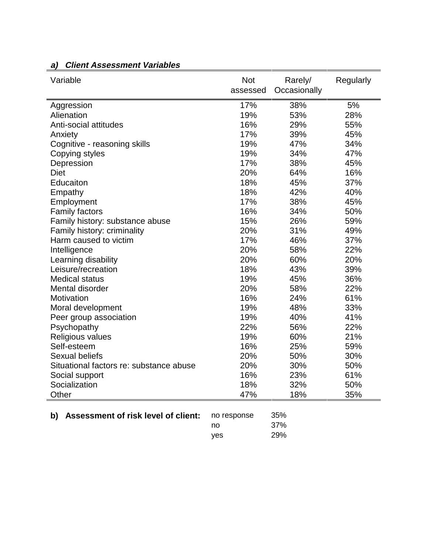| Variable                                | <b>Not</b><br>assessed | Rarely/<br>Occasionally | Regularly |
|-----------------------------------------|------------------------|-------------------------|-----------|
| Aggression                              | 17%                    | 38%                     | 5%        |
| Alienation                              | 19%                    | 53%                     | 28%       |
| Anti-social attitudes                   | 16%                    | 29%                     | 55%       |
| Anxiety                                 | 17%                    | 39%                     | 45%       |
| Cognitive - reasoning skills            | 19%                    | 47%                     | 34%       |
| Copying styles                          | 19%                    | 34%                     | 47%       |
| Depression                              | 17%                    | 38%                     | 45%       |
| <b>Diet</b>                             | 20%                    | 64%                     | 16%       |
| Educaiton                               | 18%                    | 45%                     | 37%       |
| Empathy                                 | 18%                    | 42%                     | 40%       |
| Employment                              | 17%                    | 38%                     | 45%       |
| <b>Family factors</b>                   | 16%                    | 34%                     | 50%       |
| Family history: substance abuse         | 15%                    | 26%                     | 59%       |
| Family history: criminality             | 20%                    | 31%                     | 49%       |
| Harm caused to victim                   | 17%                    | 46%                     | 37%       |
| Intelligence                            | 20%                    | 58%                     | 22%       |
| Learning disability                     | 20%                    | 60%                     | 20%       |
| Leisure/recreation                      | 18%                    | 43%                     | 39%       |
| <b>Medical status</b>                   | 19%                    | 45%                     | 36%       |
| Mental disorder                         | 20%                    | 58%                     | 22%       |
| Motivation                              | 16%                    | 24%                     | 61%       |
| Moral development                       | 19%                    | 48%                     | 33%       |
| Peer group association                  | 19%                    | 40%                     | 41%       |
| Psychopathy                             | 22%                    | 56%                     | 22%       |
| Religious values                        | 19%                    | 60%                     | 21%       |
| Self-esteem                             | 16%                    | 25%                     | 59%       |
| Sexual beliefs                          | 20%                    | 50%                     | 30%       |
| Situational factors re: substance abuse | 20%                    | 30%                     | 50%       |
| Social support                          | 16%                    | 23%                     | 61%       |
| Socialization                           | 18%                    | 32%                     | 50%       |
| Other                                   | 47%                    | 18%                     | 35%       |
|                                         |                        |                         |           |

### **a) Client Assessment Variables**

| b) Assessment of risk level of client: no response |    | 35% |
|----------------------------------------------------|----|-----|
|                                                    | no | 37% |

yes 29%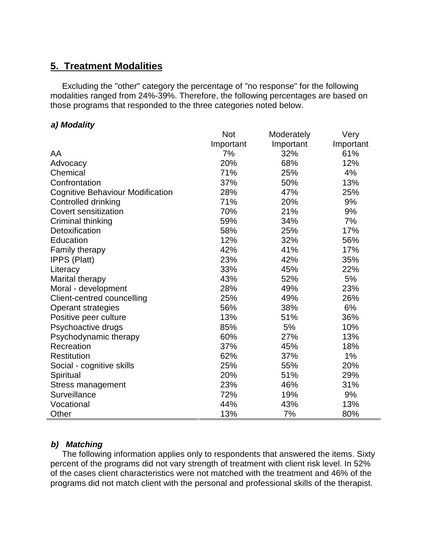### **5. Treatment Modalities**

 Excluding the "other" category the percentage of "no response" for the following modalities ranged from 24%-39%. Therefore, the following percentages are based on those programs that responded to the three categories noted below.

Not

### **a) Modality**

|                                         | <b>Not</b> | Moderately | Very      |
|-----------------------------------------|------------|------------|-----------|
|                                         | Important  | Important  | Important |
| AA                                      | 7%         | 32%        | 61%       |
| Advocacy                                | 20%        | 68%        | 12%       |
| Chemical                                | 71%        | 25%        | 4%        |
| Confrontation                           | 37%        | 50%        | 13%       |
| <b>Cognitive Behaviour Modification</b> | 28%        | 47%        | 25%       |
| Controlled drinking                     | 71%        | 20%        | 9%        |
| <b>Covert sensitization</b>             | 70%        | 21%        | 9%        |
| Criminal thinking                       | 59%        | 34%        | 7%        |
| Detoxification                          | 58%        | 25%        | 17%       |
| Education                               | 12%        | 32%        | 56%       |
| Family therapy                          | 42%        | 41%        | 17%       |
| <b>IPPS (Platt)</b>                     | 23%        | 42%        | 35%       |
| Literacy                                | 33%        | 45%        | 22%       |
| Marital therapy                         | 43%        | 52%        | 5%        |
| Moral - development                     | 28%        | 49%        | 23%       |
| Client-centred councelling              | 25%        | 49%        | 26%       |
| <b>Operant strategies</b>               | 56%        | 38%        | 6%        |
| Positive peer culture                   | 13%        | 51%        | 36%       |
| Psychoactive drugs                      | 85%        | 5%         | 10%       |
| Psychodynamic therapy                   | 60%        | 27%        | 13%       |
| Recreation                              | 37%        | 45%        | 18%       |
| Restitution                             | 62%        | 37%        | 1%        |
| Social - cognitive skills               | 25%        | 55%        | 20%       |
| Spiritual                               | 20%        | 51%        | 29%       |
| Stress management                       | 23%        | 46%        | 31%       |
| Surveillance                            | 72%        | 19%        | 9%        |
| Vocational                              | 44%        | 43%        | 13%       |
| Other                                   | 13%        | 7%         | 80%       |

### **b) Matching**

 The following information applies only to respondents that answered the items. Sixty percent of the programs did not vary strength of treatment with client risk level. In 52% of the cases client characteristics were not matched with the treatment and 46% of the programs did not match client with the personal and professional skills of the therapist.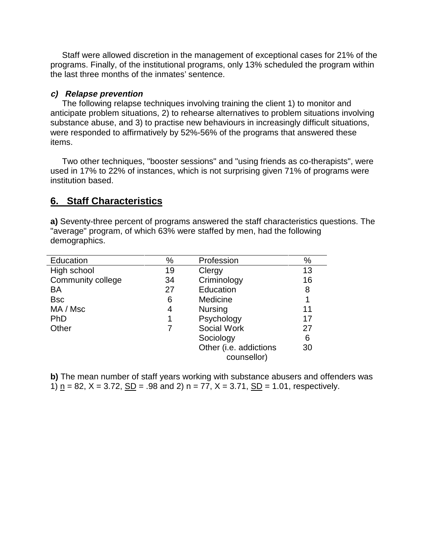Staff were allowed discretion in the management of exceptional cases for 21% of the programs. Finally, of the institutional programs, only 13% scheduled the program within the last three months of the inmates' sentence.

#### **c) Relapse prevention**

 The following relapse techniques involving training the client 1) to monitor and anticipate problem situations, 2) to rehearse alternatives to problem situations involving substance abuse, and 3) to practise new behaviours in increasingly difficult situations, were responded to affirmatively by 52%-56% of the programs that answered these items.

 Two other techniques, "booster sessions" and "using friends as co-therapists", were used in 17% to 22% of instances, which is not surprising given 71% of programs were institution based.

### **6. Staff Characteristics**

**a)** Seventy-three percent of programs answered the staff characteristics questions. The "average" program, of which 63% were staffed by men, had the following demographics.

| Education         | $\%$ | Profession             | $\%$ |
|-------------------|------|------------------------|------|
| High school       | 19   | Clergy                 | 13   |
| Community college | 34   | Criminology            | 16   |
| BA                | 27   | Education              | 8    |
| <b>Bsc</b>        | 6    | Medicine               | 1    |
| MA / Msc          | 4    | <b>Nursing</b>         | 11   |
| <b>PhD</b>        |      | Psychology             | 17   |
| Other             |      | Social Work            | 27   |
|                   |      | Sociology              | 6    |
|                   |      | Other (i.e. addictions | 30   |
|                   |      | counsellor)            |      |

**b)** The mean number of staff years working with substance abusers and offenders was 1)  $n = 82$ ,  $X = 3.72$ ,  $SD = .98$  and 2)  $n = 77$ ,  $X = 3.71$ ,  $SD = 1.01$ , respectively.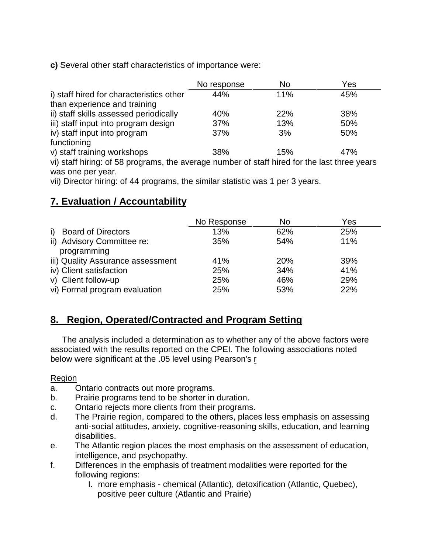**c)** Several other staff characteristics of importance were:

|                                          | No response | No  | Yes |
|------------------------------------------|-------------|-----|-----|
| i) staff hired for characteristics other | 44%         | 11% | 45% |
| than experience and training             |             |     |     |
| ii) staff skills assessed periodically   | 40%         | 22% | 38% |
| iii) staff input into program design     | 37%         | 13% | 50% |
| iv) staff input into program             | 37%         | 3%  | 50% |
| functioning                              |             |     |     |
| v) staff training workshops              | 38%         | 15% | 47% |
|                                          |             |     |     |

vi) staff hiring: of 58 programs, the average number of staff hired for the last three years was one per year.

vii) Director hiring: of 44 programs, the similar statistic was 1 per 3 years.

### **7. Evaluation / Accountability**

|                                   | No Response | No  | Yes |
|-----------------------------------|-------------|-----|-----|
| i)<br><b>Board of Directors</b>   | 13%         | 62% | 25% |
| ii) Advisory Committee re:        | 35%         | 54% | 11% |
| programming                       |             |     |     |
| iii) Quality Assurance assessment | 41%         | 20% | 39% |
| iv) Client satisfaction           | 25%         | 34% | 41% |
| v) Client follow-up               | 25%         | 46% | 29% |
| vi) Formal program evaluation     | 25%         | 53% | 22% |

### **8. Region, Operated/Contracted and Program Setting**

 The analysis included a determination as to whether any of the above factors were associated with the results reported on the CPEI. The following associations noted below were significant at the .05 level using Pearson's r

### Region

- a. Ontario contracts out more programs.
- b. Prairie programs tend to be shorter in duration.
- c. Ontario rejects more clients from their programs.
- d. The Prairie region, compared to the others, places less emphasis on assessing anti-social attitudes, anxiety, cognitive-reasoning skills, education, and learning disabilities.
- e. The Atlantic region places the most emphasis on the assessment of education, intelligence, and psychopathy.
- f. Differences in the emphasis of treatment modalities were reported for the following regions:
	- I. more emphasis chemical (Atlantic), detoxification (Atlantic, Quebec), positive peer culture (Atlantic and Prairie)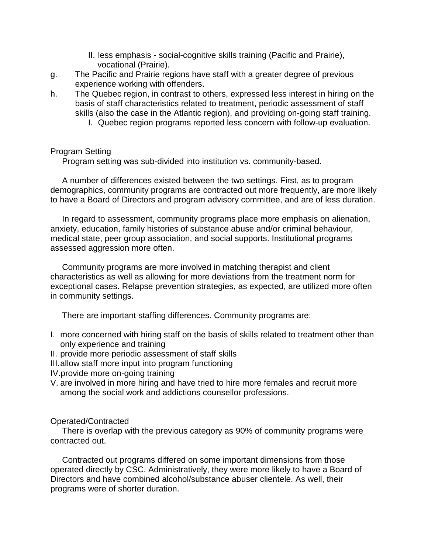- II. less emphasis social-cognitive skills training (Pacific and Prairie), vocational (Prairie).
- g. The Pacific and Prairie regions have staff with a greater degree of previous experience working with offenders.
- h. The Quebec region, in contrast to others, expressed less interest in hiring on the basis of staff characteristics related to treatment, periodic assessment of staff skills (also the case in the Atlantic region), and providing on-going staff training.
	- I. Quebec region programs reported less concern with follow-up evaluation.

### Program Setting

Program setting was sub-divided into institution vs. community-based.

 A number of differences existed between the two settings. First, as to program demographics, community programs are contracted out more frequently, are more likely to have a Board of Directors and program advisory committee, and are of less duration.

 In regard to assessment, community programs place more emphasis on alienation, anxiety, education, family histories of substance abuse and/or criminal behaviour, medical state, peer group association, and social supports. Institutional programs assessed aggression more often.

 Community programs are more involved in matching therapist and client characteristics as well as allowing for more deviations from the treatment norm for exceptional cases. Relapse prevention strategies, as expected, are utilized more often in community settings.

There are important staffing differences. Community programs are:

- I. more concerned with hiring staff on the basis of skills related to treatment other than only experience and training
- II. provide more periodic assessment of staff skills
- III. allow staff more input into program functioning
- IV. provide more on-going training
- V. are involved in more hiring and have tried to hire more females and recruit more among the social work and addictions counsellor professions.

### Operated/Contracted

 There is overlap with the previous category as 90% of community programs were contracted out.

 Contracted out programs differed on some important dimensions from those operated directly by CSC. Administratively, they were more likely to have a Board of Directors and have combined alcohol/substance abuser clientele. As well, their programs were of shorter duration.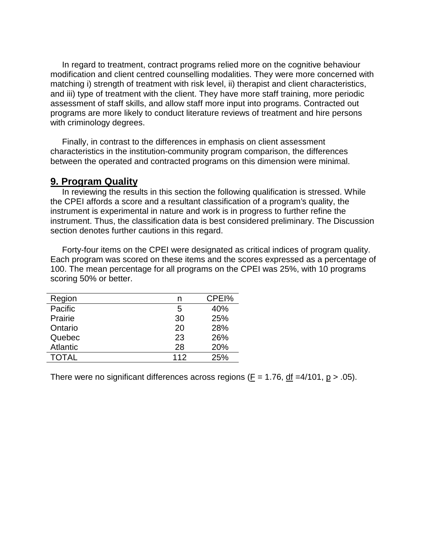In regard to treatment, contract programs relied more on the cognitive behaviour modification and client centred counselling modalities. They were more concerned with matching i) strength of treatment with risk level, ii) therapist and client characteristics, and iii) type of treatment with the client. They have more staff training, more periodic assessment of staff skills, and allow staff more input into programs. Contracted out programs are more likely to conduct literature reviews of treatment and hire persons with criminology degrees.

 Finally, in contrast to the differences in emphasis on client assessment characteristics in the institution-community program comparison, the differences between the operated and contracted programs on this dimension were minimal.

### **9. Program Quality**

In reviewing the results in this section the following qualification is stressed. While the CPEI affords a score and a resultant classification of a program's quality, the instrument is experimental in nature and work is in progress to further refine the instrument. Thus, the classification data is best considered preliminary. The Discussion section denotes further cautions in this regard.

 Forty-four items on the CPEI were designated as critical indices of program quality. Each program was scored on these items and the scores expressed as a percentage of 100. The mean percentage for all programs on the CPEI was 25%, with 10 programs scoring 50% or better.

| Region          | n   | CPEI% |
|-----------------|-----|-------|
| Pacific         | 5   | 40%   |
| Prairie         | 30  | 25%   |
| Ontario         | 20  | 28%   |
| Quebec          | 23  | 26%   |
| <b>Atlantic</b> | 28  | 20%   |
| <b>TOTAL</b>    | 112 | 25%   |

There were no significant differences across regions ( $F = 1.76$ , df = 4/101, p > .05).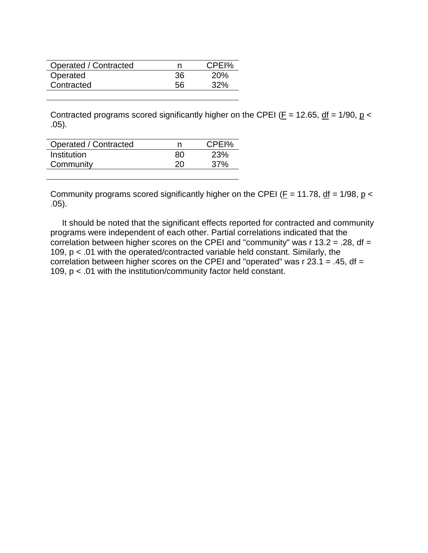| Operated / Contracted |    | CPE <sub>1%</sub> |
|-----------------------|----|-------------------|
| Operated              | 36 | <b>20%</b>        |
| Contracted            | 56 | <b>32%</b>        |
|                       |    |                   |

Contracted programs scored significantly higher on the CPEI ( $F = 12.65$ , df = 1/90, p < .05).

| Operated / Contracted |    | CPE <sub>1%</sub> |
|-----------------------|----|-------------------|
| Institution           | 80 | <b>23%</b>        |
| Community             | 20 | 37%               |
|                       |    |                   |

Community programs scored significantly higher on the CPEI ( $F = 11.78$ , df = 1/98, p < .05).

 It should be noted that the significant effects reported for contracted and community programs were independent of each other. Partial correlations indicated that the correlation between higher scores on the CPEI and "community" was r 13.2 = .28, df = 109, p < .01 with the operated/contracted variable held constant. Similarly, the correlation between higher scores on the CPEI and "operated" was  $r$  23.1 = .45, df = 109, p < .01 with the institution/community factor held constant.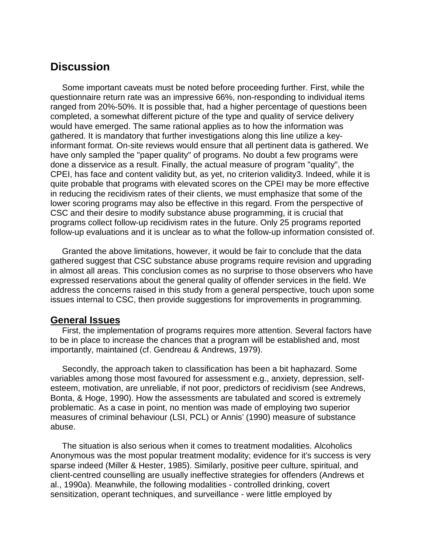### **Discussion**

 Some important caveats must be noted before proceeding further. First, while the questionnaire return rate was an impressive 66%, non-responding to individual items ranged from 20%-50%. It is possible that, had a higher percentage of questions been completed, a somewhat different picture of the type and quality of service delivery would have emerged. The same rational applies as to how the information was gathered. It is mandatory that further investigations along this line utilize a keyinformant format. On-site reviews would ensure that all pertinent data is gathered. We have only sampled the "paper quality" of programs. No doubt a few programs were done a disservice as a result. Finally, the actual measure of program "quality", the CPEI, has face and content validity but, as yet, no criterion validity3. Indeed, while it is quite probable that programs with elevated scores on the CPEI may be more effective in reducing the recidivism rates of their clients, we must emphasize that some of the lower scoring programs may also be effective in this regard. From the perspective of CSC and their desire to modify substance abuse programming, it is crucial that programs collect follow-up recidivism rates in the future. Only 25 programs reported follow-up evaluations and it is unclear as to what the follow-up information consisted of.

 Granted the above limitations, however, it would be fair to conclude that the data gathered suggest that CSC substance abuse programs require revision and upgrading in almost all areas. This conclusion comes as no surprise to those observers who have expressed reservations about the general quality of offender services in the field. We address the concerns raised in this study from a general perspective, touch upon some issues internal to CSC, then provide suggestions for improvements in programming.

### **General Issues**

 First, the implementation of programs requires more attention. Several factors have to be in place to increase the chances that a program will be established and, most importantly, maintained (cf. Gendreau & Andrews, 1979).

 Secondly, the approach taken to classification has been a bit haphazard. Some variables among those most favoured for assessment e.g., anxiety, depression, selfesteem, motivation, are unreliable, if not poor, predictors of recidivism (see Andrews, Bonta, & Hoge, 1990). How the assessments are tabulated and scored is extremely problematic. As a case in point, no mention was made of employing two superior measures of criminal behaviour (LSI, PCL) or Annis' (1990) measure of substance abuse.

 The situation is also serious when it comes to treatment modalities. Alcoholics Anonymous was the most popular treatment modality; evidence for it's success is very sparse indeed (Miller & Hester, 1985). Similarly, positive peer culture, spiritual, and client-centred counselling are usually ineffective strategies for offenders (Andrews et al., 1990a). Meanwhile, the following modalities - controlled drinking, covert sensitization, operant techniques, and surveillance - were little employed by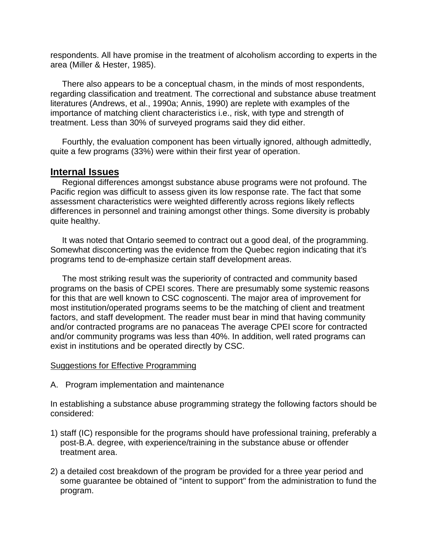respondents. All have promise in the treatment of alcoholism according to experts in the area (Miller & Hester, 1985).

 There also appears to be a conceptual chasm, in the minds of most respondents, regarding classification and treatment. The correctional and substance abuse treatment literatures (Andrews, et al., 1990a; Annis, 1990) are replete with examples of the importance of matching client characteristics i.e., risk, with type and strength of treatment. Less than 30% of surveyed programs said they did either.

 Fourthly, the evaluation component has been virtually ignored, although admittedly, quite a few programs (33%) were within their first year of operation.

### **Internal Issues**

 Regional differences amongst substance abuse programs were not profound. The Pacific region was difficult to assess given its low response rate. The fact that some assessment characteristics were weighted differently across regions likely reflects differences in personnel and training amongst other things. Some diversity is probably quite healthy.

 It was noted that Ontario seemed to contract out a good deal, of the programming. Somewhat disconcerting was the evidence from the Quebec region indicating that it's programs tend to de-emphasize certain staff development areas.

 The most striking result was the superiority of contracted and community based programs on the basis of CPEI scores. There are presumably some systemic reasons for this that are well known to CSC cognoscenti. The major area of improvement for most institution/operated programs seems to be the matching of client and treatment factors, and staff development. The reader must bear in mind that having community and/or contracted programs are no panaceas The average CPEI score for contracted and/or community programs was less than 40%. In addition, well rated programs can exist in institutions and be operated directly by CSC.

#### Suggestions for Effective Programming

A. Program implementation and maintenance

In establishing a substance abuse programming strategy the following factors should be considered:

- 1) staff (IC) responsible for the programs should have professional training, preferably a post-B.A. degree, with experience/training in the substance abuse or offender treatment area.
- 2) a detailed cost breakdown of the program be provided for a three year period and some guarantee be obtained of "intent to support" from the administration to fund the program.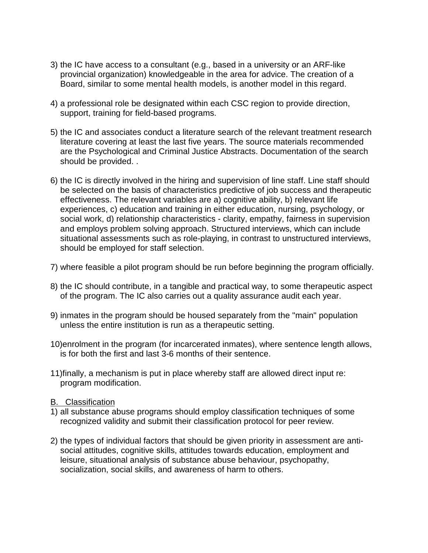- 3) the IC have access to a consultant (e.g., based in a university or an ARF-like provincial organization) knowledgeable in the area for advice. The creation of a Board, similar to some mental health models, is another model in this regard.
- 4) a professional role be designated within each CSC region to provide direction, support, training for field-based programs.
- 5) the IC and associates conduct a literature search of the relevant treatment research literature covering at least the last five years. The source materials recommended are the Psychological and Criminal Justice Abstracts. Documentation of the search should be provided. .
- 6) the IC is directly involved in the hiring and supervision of line staff. Line staff should be selected on the basis of characteristics predictive of job success and therapeutic effectiveness. The relevant variables are a) cognitive ability, b) relevant life experiences, c) education and training in either education, nursing, psychology, or social work, d) relationship characteristics - clarity, empathy, fairness in supervision and employs problem solving approach. Structured interviews, which can include situational assessments such as role-playing, in contrast to unstructured interviews, should be employed for staff selection.
- 7) where feasible a pilot program should be run before beginning the program officially.
- 8) the IC should contribute, in a tangible and practical way, to some therapeutic aspect of the program. The IC also carries out a quality assurance audit each year.
- 9) inmates in the program should be housed separately from the "main" population unless the entire institution is run as a therapeutic setting.
- 10) enrolment in the program (for incarcerated inmates), where sentence length allows, is for both the first and last 3-6 months of their sentence.
- 11) finally, a mechanism is put in place whereby staff are allowed direct input re: program modification.

### B. Classification

- 1) all substance abuse programs should employ classification techniques of some recognized validity and submit their classification protocol for peer review.
- 2) the types of individual factors that should be given priority in assessment are antisocial attitudes, cognitive skills, attitudes towards education, employment and leisure, situational analysis of substance abuse behaviour, psychopathy, socialization, social skills, and awareness of harm to others.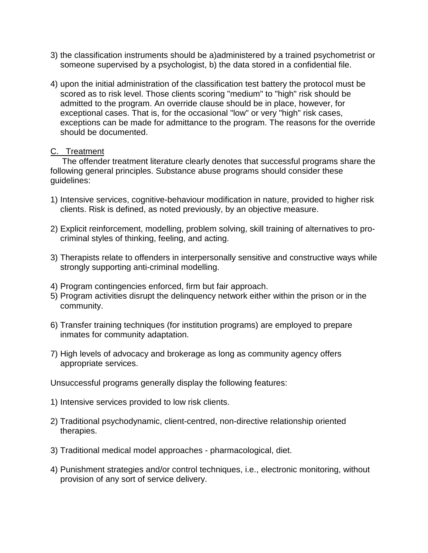- 3) the classification instruments should be a)administered by a trained psychometrist or someone supervised by a psychologist, b) the data stored in a confidential file.
- 4) upon the initial administration of the classification test battery the protocol must be scored as to risk level. Those clients scoring "medium" to "high" risk should be admitted to the program. An override clause should be in place, however, for exceptional cases. That is, for the occasional "low" or very "high" risk cases, exceptions can be made for admittance to the program. The reasons for the override should be documented.

### C. Treatment

 The offender treatment literature clearly denotes that successful programs share the following general principles. Substance abuse programs should consider these guidelines:

- 1) Intensive services, cognitive-behaviour modification in nature, provided to higher risk clients. Risk is defined, as noted previously, by an objective measure.
- 2) Explicit reinforcement, modelling, problem solving, skill training of alternatives to procriminal styles of thinking, feeling, and acting.
- 3) Therapists relate to offenders in interpersonally sensitive and constructive ways while strongly supporting anti-criminal modelling.
- 4) Program contingencies enforced, firm but fair approach.
- 5) Program activities disrupt the delinquency network either within the prison or in the community.
- 6) Transfer training techniques (for institution programs) are employed to prepare inmates for community adaptation.
- 7) High levels of advocacy and brokerage as long as community agency offers appropriate services.

Unsuccessful programs generally display the following features:

- 1) Intensive services provided to low risk clients.
- 2) Traditional psychodynamic, client-centred, non-directive relationship oriented therapies.
- 3) Traditional medical model approaches pharmacological, diet.
- 4) Punishment strategies and/or control techniques, i.e., electronic monitoring, without provision of any sort of service delivery.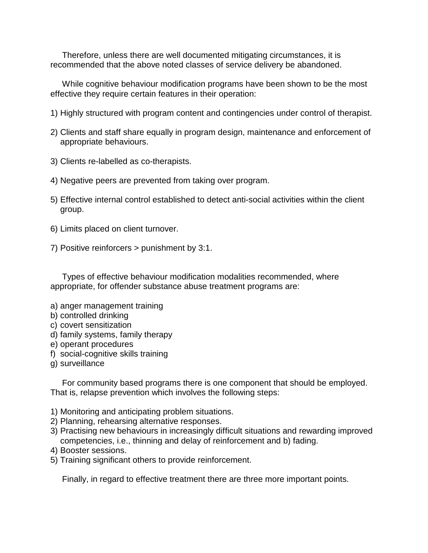Therefore, unless there are well documented mitigating circumstances, it is recommended that the above noted classes of service delivery be abandoned.

 While cognitive behaviour modification programs have been shown to be the most effective they require certain features in their operation:

- 1) Highly structured with program content and contingencies under control of therapist.
- 2) Clients and staff share equally in program design, maintenance and enforcement of appropriate behaviours.
- 3) Clients re-labelled as co-therapists.
- 4) Negative peers are prevented from taking over program.
- 5) Effective internal control established to detect anti-social activities within the client group.
- 6) Limits placed on client turnover.
- 7) Positive reinforcers > punishment by 3:1.

 Types of effective behaviour modification modalities recommended, where appropriate, for offender substance abuse treatment programs are:

- a) anger management training
- b) controlled drinking
- c) covert sensitization
- d) family systems, family therapy
- e) operant procedures
- f) social-cognitive skills training
- g) surveillance

 For community based programs there is one component that should be employed. That is, relapse prevention which involves the following steps:

- 1) Monitoring and anticipating problem situations.
- 2) Planning, rehearsing alternative responses.
- 3) Practising new behaviours in increasingly difficult situations and rewarding improved competencies, i.e., thinning and delay of reinforcement and b) fading.
- 4) Booster sessions.
- 5) Training significant others to provide reinforcement.

Finally, in regard to effective treatment there are three more important points.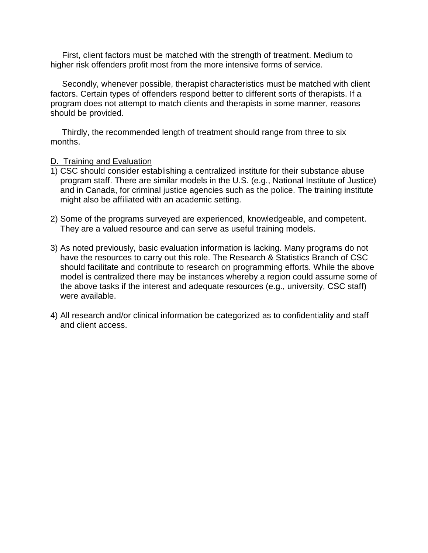First, client factors must be matched with the strength of treatment. Medium to higher risk offenders profit most from the more intensive forms of service.

 Secondly, whenever possible, therapist characteristics must be matched with client factors. Certain types of offenders respond better to different sorts of therapists. If a program does not attempt to match clients and therapists in some manner, reasons should be provided.

 Thirdly, the recommended length of treatment should range from three to six months.

#### D. Training and Evaluation

- 1) CSC should consider establishing a centralized institute for their substance abuse program staff. There are similar models in the U.S. (e.g., National Institute of Justice) and in Canada, for criminal justice agencies such as the police. The training institute might also be affiliated with an academic setting.
- 2) Some of the programs surveyed are experienced, knowledgeable, and competent. They are a valued resource and can serve as useful training models.
- 3) As noted previously, basic evaluation information is lacking. Many programs do not have the resources to carry out this role. The Research & Statistics Branch of CSC should facilitate and contribute to research on programming efforts. While the above model is centralized there may be instances whereby a region could assume some of the above tasks if the interest and adequate resources (e.g., university, CSC staff) were available.
- 4) All research and/or clinical information be categorized as to confidentiality and staff and client access.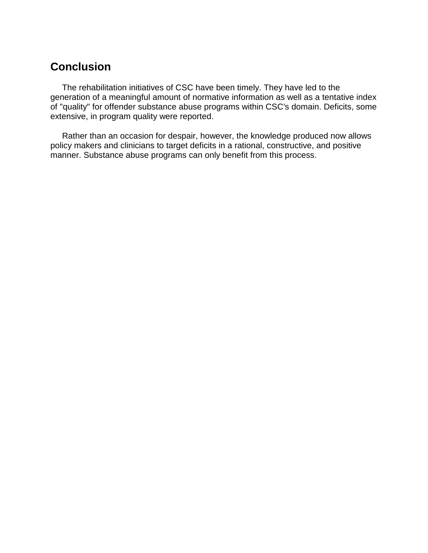## **Conclusion**

 The rehabilitation initiatives of CSC have been timely. They have led to the generation of a meaningful amount of normative information as well as a tentative index of "quality" for offender substance abuse programs within CSC's domain. Deficits, some extensive, in program quality were reported.

 Rather than an occasion for despair, however, the knowledge produced now allows policy makers and clinicians to target deficits in a rational, constructive, and positive manner. Substance abuse programs can only benefit from this process.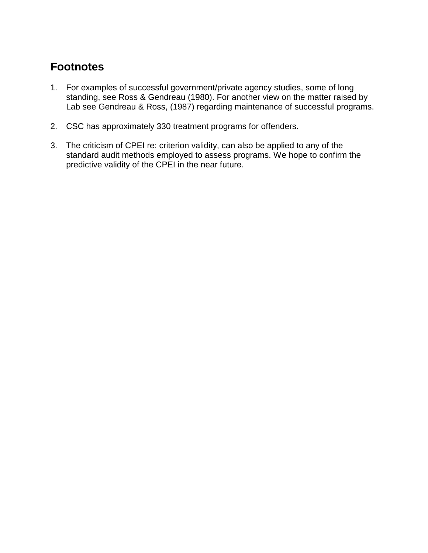## **Footnotes**

- 1. For examples of successful government/private agency studies, some of long standing, see Ross & Gendreau (1980). For another view on the matter raised by Lab see Gendreau & Ross, (1987) regarding maintenance of successful programs.
- 2. CSC has approximately 330 treatment programs for offenders.
- 3. The criticism of CPEI re: criterion validity, can also be applied to any of the standard audit methods employed to assess programs. We hope to confirm the predictive validity of the CPEI in the near future.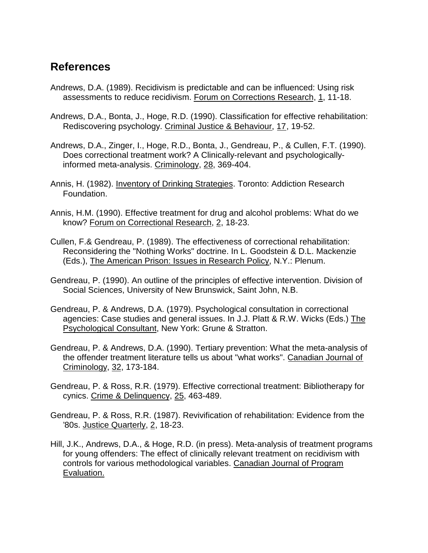## **References**

- Andrews, D.A. (1989). Recidivism is predictable and can be influenced: Using risk assessments to reduce recidivism. Forum on Corrections Research, 1, 11-18.
- Andrews, D.A., Bonta, J., Hoge, R.D. (1990). Classification for effective rehabilitation: Rediscovering psychology. Criminal Justice & Behaviour, 17, 19-52.
- Andrews, D.A., Zinger, I., Hoge, R.D., Bonta, J., Gendreau, P., & Cullen, F.T. (1990). Does correctional treatment work? A Clinically-relevant and psychologicallyinformed meta-analysis. Criminology, 28, 369-404.
- Annis, H. (1982). Inventory of Drinking Strategies. Toronto: Addiction Research Foundation.
- Annis, H.M. (1990). Effective treatment for drug and alcohol problems: What do we know? Forum on Correctional Research, 2, 18-23.
- Cullen, F.& Gendreau, P. (1989). The effectiveness of correctional rehabilitation: Reconsidering the "Nothing Works" doctrine. In L. Goodstein & D.L. Mackenzie (Eds.), The American Prison: Issues in Research Policy, N.Y.: Plenum.
- Gendreau, P. (1990). An outline of the principles of effective intervention. Division of Social Sciences, University of New Brunswick, Saint John, N.B.
- Gendreau, P. & Andrews, D.A. (1979). Psychological consultation in correctional agencies: Case studies and general issues. In J.J. Platt & R.W. Wicks (Eds.) The Psychological Consultant, New York: Grune & Stratton.
- Gendreau, P. & Andrews, D.A. (1990). Tertiary prevention: What the meta-analysis of the offender treatment literature tells us about "what works". Canadian Journal of Criminology, 32, 173-184.
- Gendreau, P. & Ross, R.R. (1979). Effective correctional treatment: Bibliotherapy for cynics. Crime & Delinquency, 25, 463-489.
- Gendreau, P. & Ross, R.R. (1987). Revivification of rehabilitation: Evidence from the '80s. Justice Quarterly, 2, 18-23.
- Hill, J.K., Andrews, D.A., & Hoge, R.D. (in press). Meta-analysis of treatment programs for young offenders: The effect of clinically relevant treatment on recidivism with controls for various methodological variables. Canadian Journal of Program Evaluation.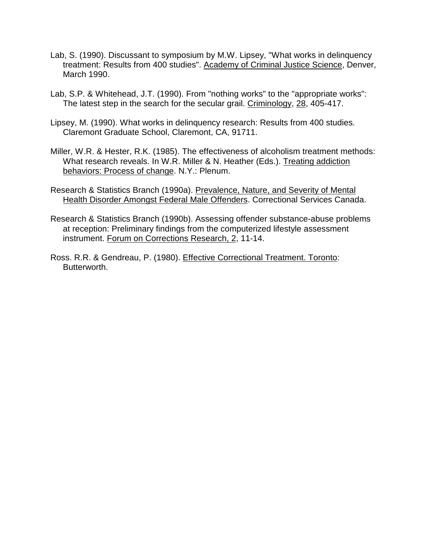- Lab, S. (1990). Discussant to symposium by M.W. Lipsey, "What works in delinquency treatment: Results from 400 studies". Academy of Criminal Justice Science, Denver, March 1990.
- Lab, S.P. & Whitehead, J.T. (1990). From "nothing works" to the "appropriate works": The latest step in the search for the secular grail. Criminology, 28, 405-417.
- Lipsey, M. (1990). What works in delinquency research: Results from 400 studies. Claremont Graduate School, Claremont, CA, 91711.
- Miller, W.R. & Hester, R.K. (1985). The effectiveness of alcoholism treatment methods: What research reveals. In W.R. Miller & N. Heather (Eds.). Treating addiction behaviors: Process of change. N.Y.: Plenum.
- Research & Statistics Branch (1990a). Prevalence, Nature, and Severity of Mental Health Disorder Amongst Federal Male Offenders. Correctional Services Canada.
- Research & Statistics Branch (1990b). Assessing offender substance-abuse problems at reception: Preliminary findings from the computerized lifestyle assessment instrument. Forum on Corrections Research, 2, 11-14.
- Ross. R.R. & Gendreau, P. (1980). Effective Correctional Treatment. Toronto: Butterworth.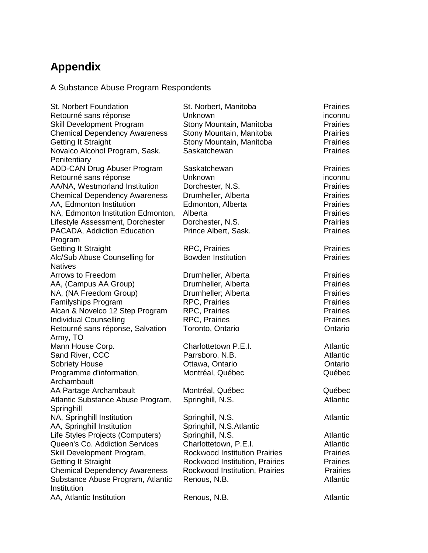# **Appendix**

A Substance Abuse Program Respondents

| <b>St. Norbert Foundation</b>        | St. Norbert, Manitoba                | <b>Prairies</b> |
|--------------------------------------|--------------------------------------|-----------------|
| Retourné sans réponse                | Unknown                              | inconnu         |
| Skill Development Program            | Stony Mountain, Manitoba             | <b>Prairies</b> |
| <b>Chemical Dependency Awareness</b> | Stony Mountain, Manitoba             | <b>Prairies</b> |
| <b>Getting It Straight</b>           | Stony Mountain, Manitoba             | <b>Prairies</b> |
| Novalco Alcohol Program, Sask.       | Saskatchewan                         | <b>Prairies</b> |
| Penitentiary                         |                                      |                 |
| ADD-CAN Drug Abuser Program          | Saskatchewan                         | <b>Prairies</b> |
| Retourné sans réponse                | Unknown                              | inconnu         |
| AA/NA, Westmorland Institution       | Dorchester, N.S.                     | <b>Prairies</b> |
| <b>Chemical Dependency Awareness</b> | Drumheller, Alberta                  | <b>Prairies</b> |
| AA, Edmonton Institution             | Edmonton, Alberta                    | <b>Prairies</b> |
| NA, Edmonton Institution Edmonton,   | Alberta                              | <b>Prairies</b> |
| Lifestyle Assessment, Dorchester     | Dorchester, N.S.                     | <b>Prairies</b> |
| PACADA, Addiction Education          | Prince Albert, Sask.                 | <b>Prairies</b> |
| Program                              |                                      |                 |
| <b>Getting It Straight</b>           | RPC, Prairies                        | <b>Prairies</b> |
| Alc/Sub Abuse Counselling for        | <b>Bowden Institution</b>            | <b>Prairies</b> |
| <b>Natives</b>                       |                                      |                 |
| Arrows to Freedom                    | Drumheller, Alberta                  | <b>Prairies</b> |
| AA, (Campus AA Group)                | Drumheller, Alberta                  | <b>Prairies</b> |
| NA, (NA Freedom Group)               | Drumheller; Alberta                  | <b>Prairies</b> |
| Familyships Program                  | RPC, Prairies                        | <b>Prairies</b> |
| Alcan & Novelco 12 Step Program      | RPC, Prairies                        | <b>Prairies</b> |
| <b>Individual Counselling</b>        | RPC, Prairies                        | <b>Prairies</b> |
| Retourné sans réponse, Salvation     | Toronto, Ontario                     | Ontario         |
| Army, TO                             |                                      |                 |
| Mann House Corp.                     | Charlottetown P.E.I.                 | <b>Atlantic</b> |
| Sand River, CCC                      | Parrsboro, N.B.                      | Atlantic        |
| <b>Sobriety House</b>                | Ottawa, Ontario                      | Ontario         |
| Programme d'information,             | Montréal, Québec                     | Québec          |
| Archambault                          |                                      |                 |
| AA Partage Archambault               | Montréal, Québec                     | Québec          |
| Atlantic Substance Abuse Program,    | Springhill, N.S.                     | Atlantic        |
| Springhill                           |                                      |                 |
| NA, Springhill Institution           | Springhill, N.S.                     | Atlantic        |
| AA, Springhill Institution           | Springhill, N.S.Atlantic             |                 |
| Life Styles Projects (Computers)     | Springhill, N.S.                     | Atlantic        |
| Queen's Co. Addiction Services       | Charlottetown, P.E.I.                | Atlantic        |
| Skill Development Program,           | <b>Rockwood Institution Prairies</b> | <b>Prairies</b> |
| <b>Getting It Straight</b>           | Rockwood Institution, Prairies       | <b>Prairies</b> |
| <b>Chemical Dependency Awareness</b> | Rockwood Institution, Prairies       | <b>Prairies</b> |
| Substance Abuse Program, Atlantic    | Renous, N.B.                         | Atlantic        |
| Institution                          |                                      |                 |
| AA, Atlantic Institution             | Renous, N.B.                         | Atlantic        |
|                                      |                                      |                 |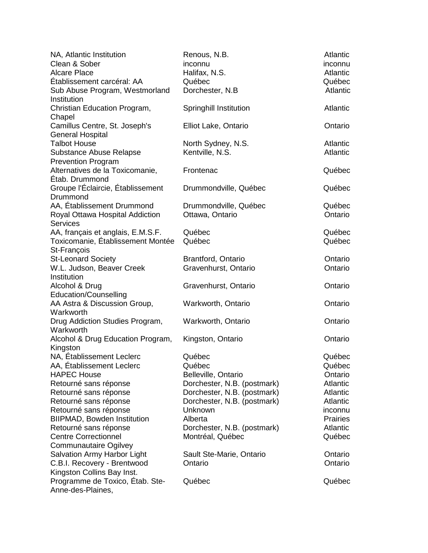| NA, Atlantic Institution                                 | Renous, N.B.                | Atlantic        |
|----------------------------------------------------------|-----------------------------|-----------------|
| Clean & Sober                                            | inconnu                     | inconnu         |
| <b>Alcare Place</b>                                      | Halifax, N.S.               | Atlantic        |
| Établissement carcéral: AA                               | Québec                      | Québec          |
| Sub Abuse Program, Westmorland<br>Institution            | Dorchester, N.B             | Atlantic        |
| Christian Education Program,                             | Springhill Institution      | <b>Atlantic</b> |
| Chapel                                                   |                             |                 |
| Camillus Centre, St. Joseph's<br><b>General Hospital</b> | Elliot Lake, Ontario        | Ontario         |
| <b>Talbot House</b>                                      | North Sydney, N.S.          | <b>Atlantic</b> |
| Substance Abuse Relapse                                  | Kentville, N.S.             | <b>Atlantic</b> |
| <b>Prevention Program</b>                                |                             |                 |
| Alternatives de la Toxicomanie,                          | Frontenac                   | Québec          |
| Étab. Drummond                                           |                             |                 |
| Groupe l'Éclaircie, Établissement<br>Drummond            | Drummondville, Québec       | Québec          |
| AA, Etablissement Drummond                               | Drummondville, Québec       | Québec          |
| Royal Ottawa Hospital Addiction                          | Ottawa, Ontario             | Ontario         |
| <b>Services</b>                                          |                             |                 |
| AA, français et anglais, E.M.S.F.                        | Québec                      | Québec          |
| Toxicomanie, Établissement Montée                        | Québec                      | Québec          |
| St-François                                              |                             |                 |
| <b>St-Leonard Society</b>                                | <b>Brantford, Ontario</b>   | Ontario         |
| W.L. Judson, Beaver Creek                                | Gravenhurst, Ontario        | Ontario         |
| Institution                                              |                             |                 |
| Alcohol & Drug                                           | Gravenhurst, Ontario        | Ontario         |
| Education/Counselling                                    |                             |                 |
| AA Astra & Discussion Group,                             | Warkworth, Ontario          | Ontario         |
| Warkworth                                                |                             |                 |
| Drug Addiction Studies Program,<br>Warkworth             | Warkworth, Ontario          | Ontario         |
| Alcohol & Drug Education Program,                        | Kingston, Ontario           | Ontario         |
| Kingston                                                 |                             |                 |
| NA, Etablissement Leclerc                                | Québec                      | Québec          |
| AA, Etablissement Leclerc                                | Québec                      | Québec          |
| <b>HAPEC House</b>                                       | Belleville, Ontario         | Ontario         |
| Retourné sans réponse                                    | Dorchester, N.B. (postmark) | Atlantic        |
| Retourné sans réponse                                    | Dorchester, N.B. (postmark) | Atlantic        |
| Retourné sans réponse                                    | Dorchester, N.B. (postmark) | Atlantic        |
| Retourné sans réponse                                    | Unknown                     | inconnu         |
| BIIPMAD, Bowden Institution                              | Alberta                     | <b>Prairies</b> |
| Retourné sans réponse                                    | Dorchester, N.B. (postmark) | Atlantic        |
| <b>Centre Correctionnel</b>                              | Montréal, Québec            | Québec          |
| <b>Communautaire Ogilvey</b>                             |                             |                 |
| Salvation Army Harbor Light                              | Sault Ste-Marie, Ontario    | Ontario         |
| C.B.I. Recovery - Brentwood                              | Ontario                     | Ontario         |
| Kingston Collins Bay Inst.                               |                             |                 |
| Programme de Toxico, Étab. Ste-                          | Québec                      | Québec          |
| Anne-des-Plaines,                                        |                             |                 |
|                                                          |                             |                 |